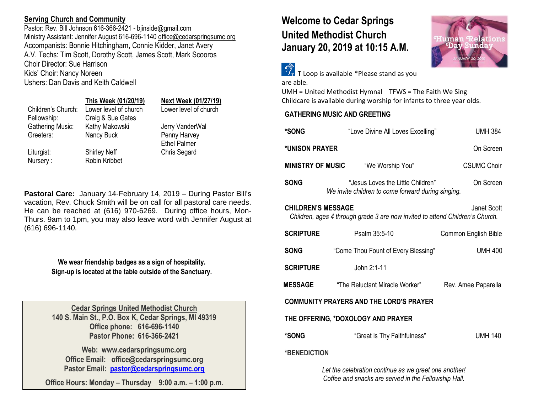# **Serving Church and Community**

Pastor: Rev. Bill Johnson 616-366-2421 - biinside@gmail.com Ministry Assistant: Jennifer August 616-696-1140 [office@cedarspringsumc.org](mailto:office@cedarspringsumc.org) Accompanists: Bonnie Hitchingham, Connie Kidder, Janet Avery A.V. Techs: Tim Scott, Dorothy Scott, James Scott, Mark Scooros Choir Director: Sue Harrison Kids' Choir: Nancy Noreen Ushers: Dan Davis and Keith Caldwell

### **This Week (01/20/19) Next Week (01/27/19)**

| Children's Church: | Lower level of church | Lower level of church |
|--------------------|-----------------------|-----------------------|
| Fellowship:        | Craig & Sue Gates     |                       |
| Gathering Music:   | Kathy Makowski        | Jerry VanderWal       |
| Greeters:          | Nancy Buck            | Penny Harvey          |
|                    |                       | <b>Ethel Palmer</b>   |
| Liturgist:         | <b>Shirley Neff</b>   | <b>Chris Segard</b>   |
| Nursery:           | Robin Kribbet         |                       |
|                    |                       |                       |

**Pastoral Care:** January 14-February 14, 2019 – During Pastor Bill's vacation, Rev. Chuck Smith will be on call for all pastoral care needs. He can be reached at (616) 970-6269. During office hours, Mon-Thurs. 9am to 1pm, you may also leave word with Jennifer August at (616) 696-1140.

> **We wear friendship badges as a sign of hospitality. Sign-up is located at the table outside of the Sanctuary.**

**Cedar Springs United Methodist Church 140 S. Main St., P.O. Box K, Cedar Springs, MI 49319 Office phone: 616-696-1140 Pastor Phone: 616-366-2421**

**Web: www.cedarspringsumc.org Office Email: office@cedarspringsumc.org Pastor Email: [pastor@cedarspringsumc.org](mailto:pastor@cedarspringsumc.org)**

**Office Hours: Monday – Thursday 9:00 a.m. – 1:00 p.m.**

# **Welcome to Cedar Springs United Methodist Church January 20, 2019 at 10:15 A.M.**



 $\mathbb{Z}_{\mathsf{r}}$  T Loop is available \*Please stand as you are able.

UMH = United Methodist Hymnal TFWS = The Faith We Sing Childcare is available during worship for infants to three year olds.

# **GATHERING MUSIC AND GREETING**

| *SONG                                                                                                                     |                                                    | "Love Divine All Loves Excelling"   | <b>UMH 384</b>       |  |
|---------------------------------------------------------------------------------------------------------------------------|----------------------------------------------------|-------------------------------------|----------------------|--|
| *UNISON PRAYER                                                                                                            |                                                    |                                     | On Screen            |  |
| <b>MINISTRY OF MUSIC</b>                                                                                                  |                                                    | "We Worship You"                    | CSUMC Choir          |  |
| <b>SONG</b>                                                                                                               | We invite children to come forward during singing. | "Jesus Loves the Little Children"   | On Screen            |  |
| <b>CHILDREN'S MESSAGE</b><br>Janet Scott<br>Children, ages 4 through grade 3 are now invited to attend Children's Church. |                                                    |                                     |                      |  |
| <b>SCRIPTURE</b>                                                                                                          | Psalm 35:5-10                                      |                                     | Common English Bible |  |
| <b>SONG</b>                                                                                                               |                                                    | "Come Thou Fount of Every Blessing" | <b>UMH 400</b>       |  |
| <b>SCRIPTURE</b>                                                                                                          | John 2:1-11                                        |                                     |                      |  |
| <b>MESSAGE</b>                                                                                                            | "The Reluctant Miracle Worker"                     |                                     | Rev. Amee Paparella  |  |
| <b>COMMUNITY PRAYERS AND THE LORD'S PRAYER</b>                                                                            |                                                    |                                     |                      |  |
| THE OFFERING, *DOXOLOGY AND PRAYER                                                                                        |                                                    |                                     |                      |  |
| *SONG                                                                                                                     |                                                    | "Great is Thy Faithfulness"         | <b>UMH 140</b>       |  |
| *BENEDICTION                                                                                                              |                                                    |                                     |                      |  |

*Let the celebration continue as we greet one another! Coffee and snacks are served in the Fellowship Hall.*